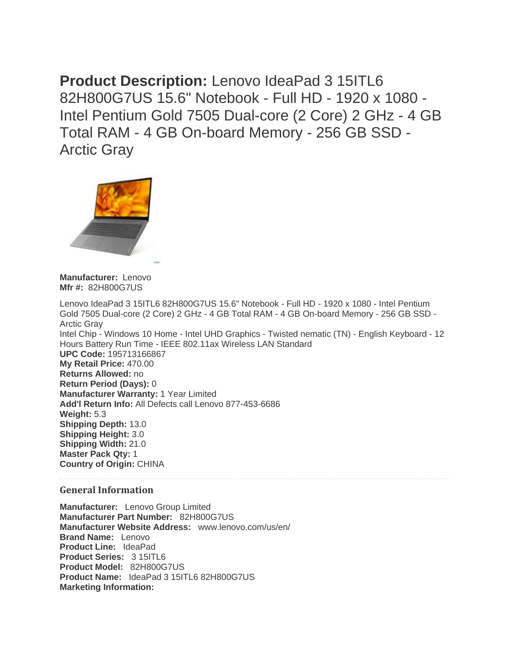**Product Description:** Lenovo IdeaPad 3 15ITL6 82H800G7US 15.6" Notebook - Full HD - 1920 x 1080 - Intel Pentium Gold 7505 Dual-core (2 Core) 2 GHz - 4 GB Total RAM - 4 GB On-board Memory - 256 GB SSD - Arctic Gray



**Manufacturer:** Lenovo **Mfr #:** 82H800G7US

Lenovo IdeaPad 3 15ITL6 82H800G7US 15.6" Notebook - Full HD - 1920 x 1080 - Intel Pentium Gold 7505 Dual-core (2 Core) 2 GHz - 4 GB Total RAM - 4 GB On-board Memory - 256 GB SSD - Arctic Gray Intel Chip - Windows 10 Home - Intel UHD Graphics - Twisted nematic (TN) - English Keyboard - 12 Hours Battery Run Time - IEEE 802.11ax Wireless LAN Standard **UPC Code:** 195713166867 **My Retail Price:** 470.00 **Returns Allowed:** no **Return Period (Days):** 0 **Manufacturer Warranty:** 1 Year Limited **Add'l Return Info:** All Defects call Lenovo 877-453-6686 **Weight:** 5.3 **Shipping Depth:** 13.0 **Shipping Height:** 3.0 **Shipping Width:** 21.0 **Master Pack Qty:** 1 **Country of Origin:** CHINA

## **General Information**

**Manufacturer:** Lenovo Group Limited **Manufacturer Part Number:** 82H800G7US **Manufacturer Website Address:** www.lenovo.com/us/en/ **Brand Name:** Lenovo **Product Line:** IdeaPad **Product Series:** 3 15ITL6 **Product Model:** 82H800G7US **Product Name:** IdeaPad 3 15ITL6 82H800G7US **Marketing Information:**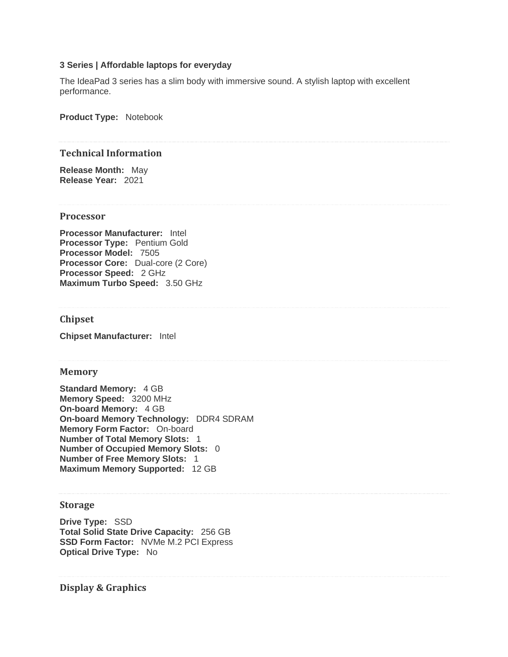## **3 Series | Affordable laptops for everyday**

The IdeaPad 3 series has a slim body with immersive sound. A stylish laptop with excellent performance.

**Product Type:** Notebook

#### **Technical Information**

**Release Month:** May **Release Year:** 2021

#### **Processor**

**Processor Manufacturer:** Intel **Processor Type: Pentium Gold Processor Model:** 7505 **Processor Core:** Dual-core (2 Core) **Processor Speed:** 2 GHz **Maximum Turbo Speed:** 3.50 GHz

# **Chipset**

**Chipset Manufacturer:** Intel

#### **Memory**

**Standard Memory:** 4 GB **Memory Speed:** 3200 MHz **On-board Memory:** 4 GB **On-board Memory Technology:** DDR4 SDRAM **Memory Form Factor:** On-board **Number of Total Memory Slots:** 1 **Number of Occupied Memory Slots:** 0 **Number of Free Memory Slots:** 1 **Maximum Memory Supported:** 12 GB

#### **Storage**

**Drive Type:** SSD **Total Solid State Drive Capacity:** 256 GB **SSD Form Factor:** NVMe M.2 PCI Express **Optical Drive Type:** No

**Display & Graphics**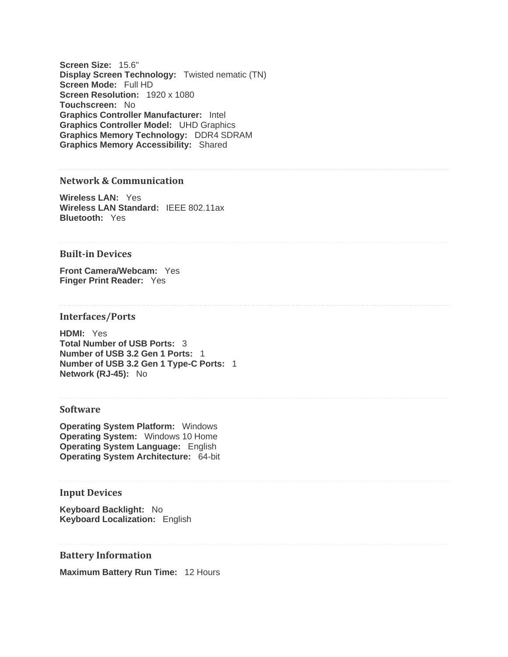**Screen Size:** 15.6" **Display Screen Technology:** Twisted nematic (TN) **Screen Mode:** Full HD **Screen Resolution:** 1920 x 1080 **Touchscreen:** No **Graphics Controller Manufacturer:** Intel **Graphics Controller Model:** UHD Graphics **Graphics Memory Technology:** DDR4 SDRAM **Graphics Memory Accessibility:** Shared

# **Network & Communication**

**Wireless LAN:** Yes **Wireless LAN Standard:** IEEE 802.11ax **Bluetooth:** Yes

# **Built-in Devices**

**Front Camera/Webcam:** Yes **Finger Print Reader:** Yes

## **Interfaces/Ports**

**HDMI:** Yes **Total Number of USB Ports:** 3 **Number of USB 3.2 Gen 1 Ports:** 1 **Number of USB 3.2 Gen 1 Type-C Ports:** 1 **Network (RJ-45):** No

#### **Software**

**Operating System Platform:** Windows **Operating System:** Windows 10 Home **Operating System Language:** English **Operating System Architecture:** 64-bit

## **Input Devices**

**Keyboard Backlight:** No **Keyboard Localization:** English

**Battery Information**

**Maximum Battery Run Time:** 12 Hours